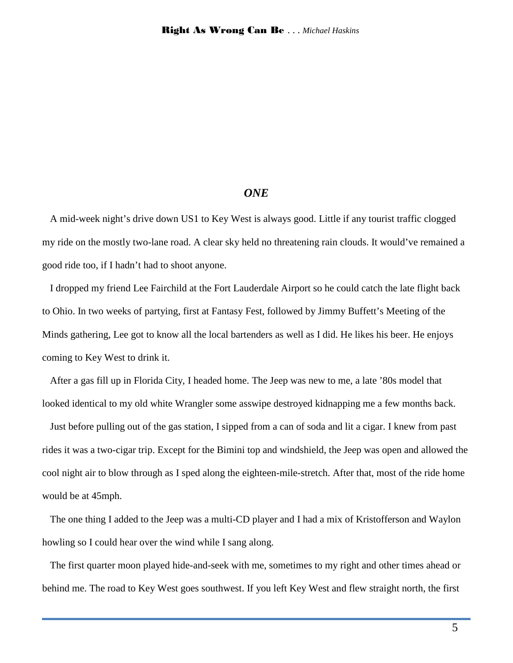# *ONE*

A mid-week night's drive down US1 to Key West is always good. Little if any tourist traffic clogged my ride on the mostly two-lane road. A clear sky held no threatening rain clouds. It would've remained a good ride too, if I hadn't had to shoot anyone.

I dropped my friend Lee Fairchild at the Fort Lauderdale Airport so he could catch the late flight back to Ohio. In two weeks of partying, first at Fantasy Fest, followed by Jimmy Buffett's Meeting of the Minds gathering, Lee got to know all the local bartenders as well as I did. He likes his beer. He enjoys coming to Key West to drink it.

After a gas fill up in Florida City, I headed home. The Jeep was new to me, a late '80s model that looked identical to my old white Wrangler some asswipe destroyed kidnapping me a few months back.

Just before pulling out of the gas station, I sipped from a can of soda and lit a cigar. I knew from past rides it was a two-cigar trip. Except for the Bimini top and windshield, the Jeep was open and allowed the cool night air to blow through as I sped along the eighteen-mile-stretch. After that, most of the ride home would be at 45mph.

The one thing I added to the Jeep was a multi-CD player and I had a mix of Kristofferson and Waylon howling so I could hear over the wind while I sang along.

The first quarter moon played hide-and-seek with me, sometimes to my right and other times ahead or behind me. The road to Key West goes southwest. If you left Key West and flew straight north, the first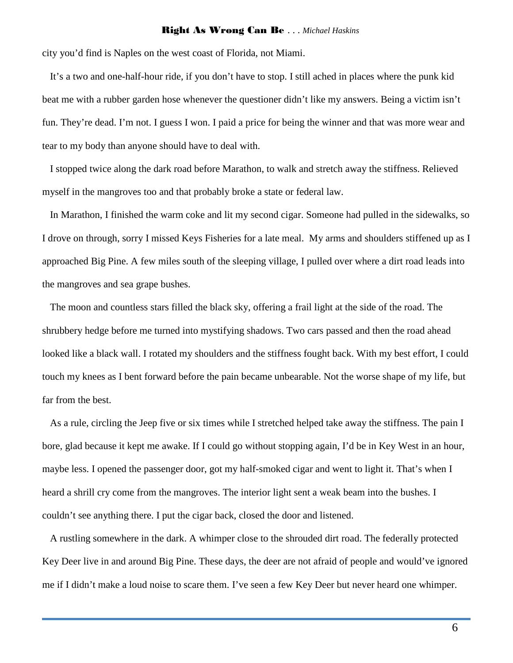city you'd find is Naples on the west coast of Florida, not Miami.

It's a two and one-half-hour ride, if you don't have to stop. I still ached in places where the punk kid beat me with a rubber garden hose whenever the questioner didn't like my answers. Being a victim isn't fun. They're dead. I'm not. I guess I won. I paid a price for being the winner and that was more wear and tear to my body than anyone should have to deal with.

I stopped twice along the dark road before Marathon, to walk and stretch away the stiffness. Relieved myself in the mangroves too and that probably broke a state or federal law.

In Marathon, I finished the warm coke and lit my second cigar. Someone had pulled in the sidewalks, so I drove on through, sorry I missed Keys Fisheries for a late meal. My arms and shoulders stiffened up as I approached Big Pine. A few miles south of the sleeping village, I pulled over where a dirt road leads into the mangroves and sea grape bushes.

The moon and countless stars filled the black sky, offering a frail light at the side of the road. The shrubbery hedge before me turned into mystifying shadows. Two cars passed and then the road ahead looked like a black wall. I rotated my shoulders and the stiffness fought back. With my best effort, I could touch my knees as I bent forward before the pain became unbearable. Not the worse shape of my life, but far from the best.

As a rule, circling the Jeep five or six times while I stretched helped take away the stiffness. The pain I bore, glad because it kept me awake. If I could go without stopping again, I'd be in Key West in an hour, maybe less. I opened the passenger door, got my half-smoked cigar and went to light it. That's when I heard a shrill cry come from the mangroves. The interior light sent a weak beam into the bushes. I couldn't see anything there. I put the cigar back, closed the door and listened.

A rustling somewhere in the dark. A whimper close to the shrouded dirt road. The federally protected Key Deer live in and around Big Pine. These days, the deer are not afraid of people and would've ignored me if I didn't make a loud noise to scare them. I've seen a few Key Deer but never heard one whimper.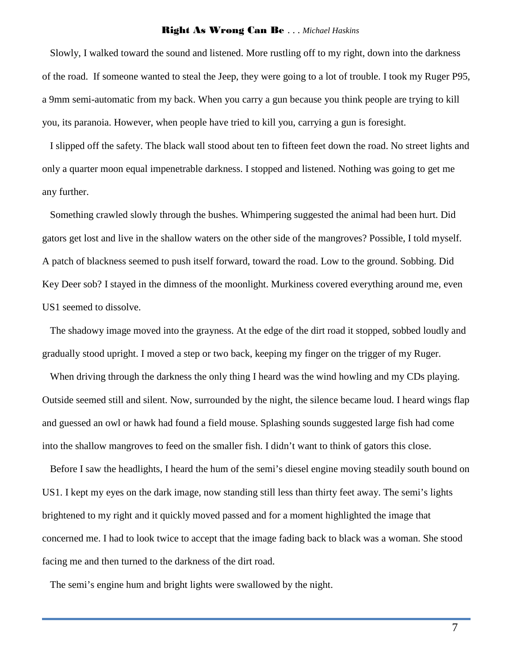Slowly, I walked toward the sound and listened. More rustling off to my right, down into the darkness of the road. If someone wanted to steal the Jeep, they were going to a lot of trouble. I took my Ruger P95, a 9mm semi-automatic from my back. When you carry a gun because you think people are trying to kill you, its paranoia. However, when people have tried to kill you, carrying a gun is foresight.

I slipped off the safety. The black wall stood about ten to fifteen feet down the road. No street lights and only a quarter moon equal impenetrable darkness. I stopped and listened. Nothing was going to get me any further.

Something crawled slowly through the bushes. Whimpering suggested the animal had been hurt. Did gators get lost and live in the shallow waters on the other side of the mangroves? Possible, I told myself. A patch of blackness seemed to push itself forward, toward the road. Low to the ground. Sobbing. Did Key Deer sob? I stayed in the dimness of the moonlight. Murkiness covered everything around me, even US1 seemed to dissolve.

The shadowy image moved into the grayness. At the edge of the dirt road it stopped, sobbed loudly and gradually stood upright. I moved a step or two back, keeping my finger on the trigger of my Ruger.

When driving through the darkness the only thing I heard was the wind howling and my CDs playing. Outside seemed still and silent. Now, surrounded by the night, the silence became loud. I heard wings flap and guessed an owl or hawk had found a field mouse. Splashing sounds suggested large fish had come into the shallow mangroves to feed on the smaller fish. I didn't want to think of gators this close.

Before I saw the headlights, I heard the hum of the semi's diesel engine moving steadily south bound on US1. I kept my eyes on the dark image, now standing still less than thirty feet away. The semi's lights brightened to my right and it quickly moved passed and for a moment highlighted the image that concerned me. I had to look twice to accept that the image fading back to black was a woman. She stood facing me and then turned to the darkness of the dirt road.

The semi's engine hum and bright lights were swallowed by the night.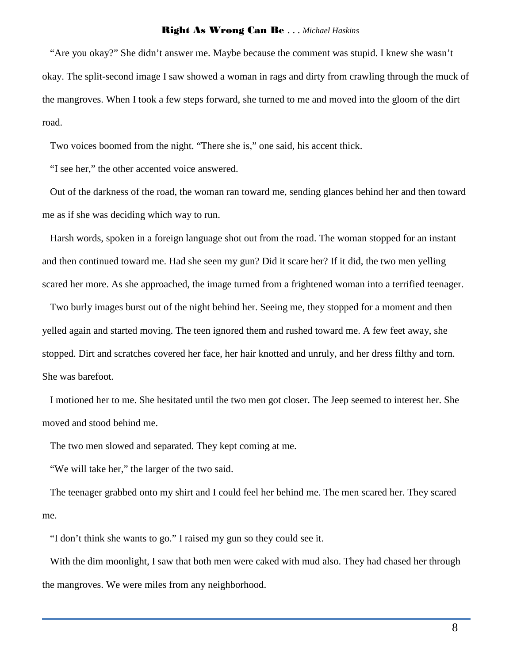"Are you okay?" She didn't answer me. Maybe because the comment was stupid. I knew she wasn't okay. The split-second image I saw showed a woman in rags and dirty from crawling through the muck of the mangroves. When I took a few steps forward, she turned to me and moved into the gloom of the dirt road.

Two voices boomed from the night. "There she is," one said, his accent thick.

"I see her," the other accented voice answered.

Out of the darkness of the road, the woman ran toward me, sending glances behind her and then toward me as if she was deciding which way to run.

Harsh words, spoken in a foreign language shot out from the road. The woman stopped for an instant and then continued toward me. Had she seen my gun? Did it scare her? If it did, the two men yelling scared her more. As she approached, the image turned from a frightened woman into a terrified teenager.

Two burly images burst out of the night behind her. Seeing me, they stopped for a moment and then yelled again and started moving. The teen ignored them and rushed toward me. A few feet away, she stopped. Dirt and scratches covered her face, her hair knotted and unruly, and her dress filthy and torn. She was barefoot.

I motioned her to me. She hesitated until the two men got closer. The Jeep seemed to interest her. She moved and stood behind me.

The two men slowed and separated. They kept coming at me.

"We will take her," the larger of the two said.

The teenager grabbed onto my shirt and I could feel her behind me. The men scared her. They scared me.

"I don't think she wants to go." I raised my gun so they could see it.

With the dim moonlight, I saw that both men were caked with mud also. They had chased her through the mangroves. We were miles from any neighborhood.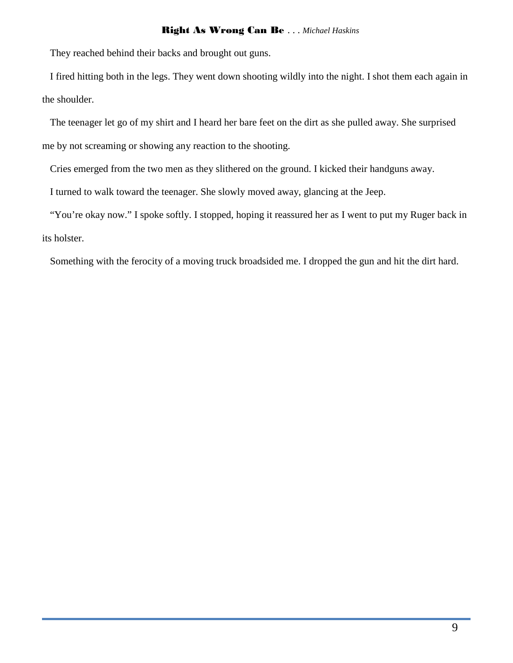They reached behind their backs and brought out guns.

I fired hitting both in the legs. They went down shooting wildly into the night. I shot them each again in the shoulder.

The teenager let go of my shirt and I heard her bare feet on the dirt as she pulled away. She surprised me by not screaming or showing any reaction to the shooting.

Cries emerged from the two men as they slithered on the ground. I kicked their handguns away.

I turned to walk toward the teenager. She slowly moved away, glancing at the Jeep.

"You're okay now." I spoke softly. I stopped, hoping it reassured her as I went to put my Ruger back in its holster.

Something with the ferocity of a moving truck broadsided me. I dropped the gun and hit the dirt hard.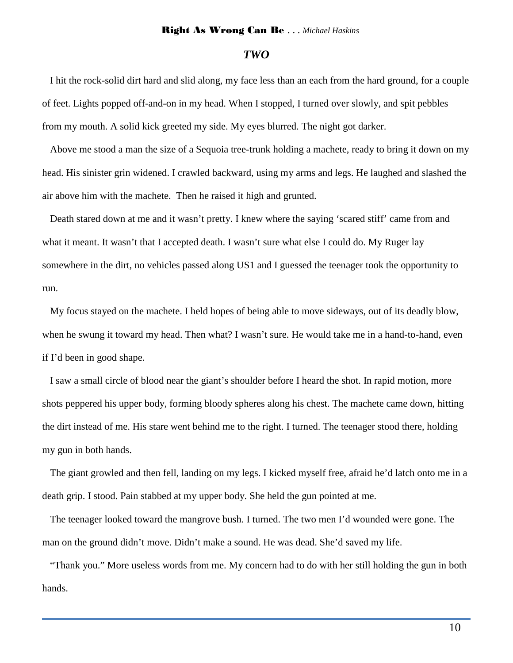### *TWO*

I hit the rock-solid dirt hard and slid along, my face less than an each from the hard ground, for a couple of feet. Lights popped off-and-on in my head. When I stopped, I turned over slowly, and spit pebbles from my mouth. A solid kick greeted my side. My eyes blurred. The night got darker.

Above me stood a man the size of a Sequoia tree-trunk holding a machete, ready to bring it down on my head. His sinister grin widened. I crawled backward, using my arms and legs. He laughed and slashed the air above him with the machete. Then he raised it high and grunted.

Death stared down at me and it wasn't pretty. I knew where the saying 'scared stiff' came from and what it meant. It wasn't that I accepted death. I wasn't sure what else I could do. My Ruger lay somewhere in the dirt, no vehicles passed along US1 and I guessed the teenager took the opportunity to run.

My focus stayed on the machete. I held hopes of being able to move sideways, out of its deadly blow, when he swung it toward my head. Then what? I wasn't sure. He would take me in a hand-to-hand, even if I'd been in good shape.

I saw a small circle of blood near the giant's shoulder before I heard the shot. In rapid motion, more shots peppered his upper body, forming bloody spheres along his chest. The machete came down, hitting the dirt instead of me. His stare went behind me to the right. I turned. The teenager stood there, holding my gun in both hands.

The giant growled and then fell, landing on my legs. I kicked myself free, afraid he'd latch onto me in a death grip. I stood. Pain stabbed at my upper body. She held the gun pointed at me.

The teenager looked toward the mangrove bush. I turned. The two men I'd wounded were gone. The man on the ground didn't move. Didn't make a sound. He was dead. She'd saved my life.

"Thank you." More useless words from me. My concern had to do with her still holding the gun in both hands.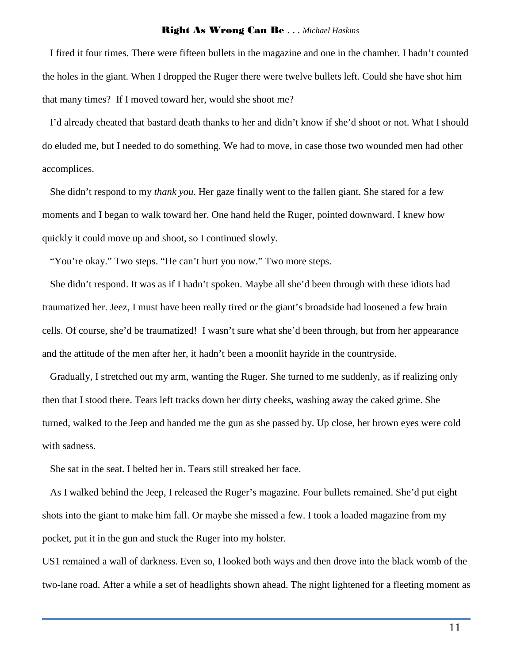I fired it four times. There were fifteen bullets in the magazine and one in the chamber. I hadn't counted the holes in the giant. When I dropped the Ruger there were twelve bullets left. Could she have shot him that many times? If I moved toward her, would she shoot me?

I'd already cheated that bastard death thanks to her and didn't know if she'd shoot or not. What I should do eluded me, but I needed to do something. We had to move, in case those two wounded men had other accomplices.

She didn't respond to my *thank you*. Her gaze finally went to the fallen giant. She stared for a few moments and I began to walk toward her. One hand held the Ruger, pointed downward. I knew how quickly it could move up and shoot, so I continued slowly.

"You're okay." Two steps. "He can't hurt you now." Two more steps.

She didn't respond. It was as if I hadn't spoken. Maybe all she'd been through with these idiots had traumatized her. Jeez, I must have been really tired or the giant's broadside had loosened a few brain cells. Of course, she'd be traumatized! I wasn't sure what she'd been through, but from her appearance and the attitude of the men after her, it hadn't been a moonlit hayride in the countryside.

Gradually, I stretched out my arm, wanting the Ruger. She turned to me suddenly, as if realizing only then that I stood there. Tears left tracks down her dirty cheeks, washing away the caked grime. She turned, walked to the Jeep and handed me the gun as she passed by. Up close, her brown eyes were cold with sadness.

She sat in the seat. I belted her in. Tears still streaked her face.

As I walked behind the Jeep, I released the Ruger's magazine. Four bullets remained. She'd put eight shots into the giant to make him fall. Or maybe she missed a few. I took a loaded magazine from my pocket, put it in the gun and stuck the Ruger into my holster.

US1 remained a wall of darkness. Even so, I looked both ways and then drove into the black womb of the two-lane road. After a while a set of headlights shown ahead. The night lightened for a fleeting moment as